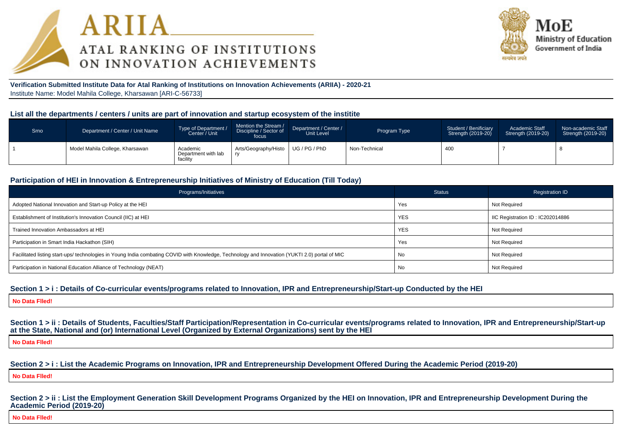



**Verification Submitted Institute Data for Atal Ranking of Institutions on Innovation Achievements (ARIIA) - 2020-21**Institute Name: Model Mahila College, Kharsawan [ARI-C-56733]

#### **List all the departments / centers / units are part of innovation and startup ecosystem of the institite**

| Srno | Department / Center / Unit Name | Type of Department /<br>Center / Unit       | Mention the Stream /<br>Discipline / Sector of<br>focus | Department / Center /<br>Unit Level | Program Type  | Student / Benificiary<br>Strength (2019-20) | <b>Academic Staff</b><br>Strength (2019-20) | Non-academic Staff<br>Strength (2019-20) |
|------|---------------------------------|---------------------------------------------|---------------------------------------------------------|-------------------------------------|---------------|---------------------------------------------|---------------------------------------------|------------------------------------------|
|      | Model Mahila College, Kharsawan | Academic<br>Department with lab<br>facility | Arts/Geography/Histo                                    | UG/PG/PhD                           | Non-Technical | 40 <sub>C</sub>                             |                                             |                                          |

## **Participation of HEI in Innovation & Entrepreneurship Initiatives of Ministry of Education (Till Today)**

| Programs/Initiatives                                                                                                                           | <b>Status</b> | <b>Registration ID</b>           |
|------------------------------------------------------------------------------------------------------------------------------------------------|---------------|----------------------------------|
| Adopted National Innovation and Start-up Policy at the HEI                                                                                     | Yes           | <b>Not Required</b>              |
| Establishment of Institution's Innovation Council (IIC) at HEI                                                                                 | <b>YES</b>    | IIC Registration ID: IC202014886 |
| Trained Innovation Ambassadors at HEI                                                                                                          | <b>YES</b>    | <b>Not Required</b>              |
| Participation in Smart India Hackathon (SIH)                                                                                                   | Yes           | Not Required                     |
| Facilitated listing start-ups/ technologies in Young India combating COVID with Knowledge, Technology and Innovation (YUKTI 2.0) portal of MIC | No            | Not Required                     |
| Participation in National Education Alliance of Technology (NEAT)                                                                              | No            | <b>Not Required</b>              |

#### **Section 1 > i : Details of Co-curricular events/programs related to Innovation, IPR and Entrepreneurship/Start-up Conducted by the HEI**

**No Data Flled!**

Section 1 > ii : Details of Students, Faculties/Staff Participation/Representation in Co-curricular events/programs related to Innovation, IPR and Entrepreneurship/Start-up **at the State, National and (or) International Level (Organized by External Organizations) sent by the HEI**

**No Data Flled!**

**Section 2 > i : List the Academic Programs on Innovation, IPR and Entrepreneurship Development Offered During the Academic Period (2019-20)**

**No Data Flled!**

Section 2 > ii : List the Employment Generation Skill Development Programs Organized by the HEI on Innovation, IPR and Entrepreneurship Development During the **Academic Period (2019-20)**

**No Data Flled!**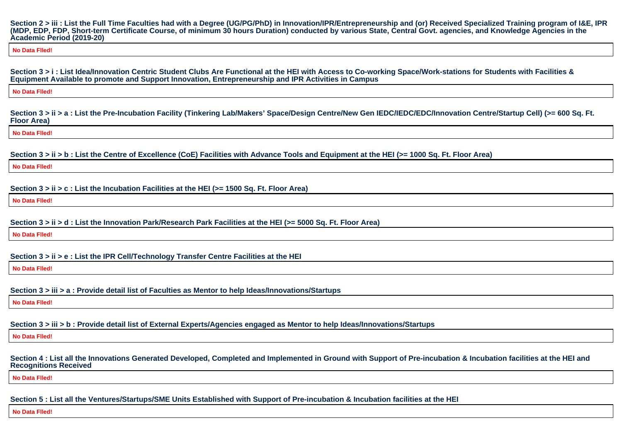**Section 2 > iii : List the Full Time Faculties had with a Degree (UG/PG/PhD) in Innovation/IPR/Entrepreneurship and (or) Received Specialized Training program of I&E, IPR(MDP, EDP, FDP, Short-term Certificate Course, of minimum 30 hours Duration) conducted by various State, Central Govt. agencies, and Knowledge Agencies in theAcademic Period (2019-20)**

**No Data Flled!**

**Section 3 > i : List Idea/Innovation Centric Student Clubs Are Functional at the HEI with Access to Co-working Space/Work-stations for Students with Facilities &Equipment Available to promote and Support Innovation, Entrepreneurship and IPR Activities in Campus**

**No Data Flled!**

Section 3 > ii > a : List the Pre-Incubation Facility (Tinkering Lab/Makers' Space/Design Centre/New Gen IEDC/IEDC/EDC/Innovation Centre/Startup Cell) (>= 600 Sq. Ft. **Floor Area)**

**No Data Flled!**

**Section 3 > ii > b : List the Centre of Excellence (CoE) Facilities with Advance Tools and Equipment at the HEI (>= 1000 Sq. Ft. Floor Area)**

**No Data Flled!**

**Section 3 > ii > c : List the Incubation Facilities at the HEI (>= 1500 Sq. Ft. Floor Area)**

**No Data Flled!**

**Section 3 > ii > d : List the Innovation Park/Research Park Facilities at the HEI (>= 5000 Sq. Ft. Floor Area)**

**No Data Flled!**

**Section 3 > ii > e : List the IPR Cell/Technology Transfer Centre Facilities at the HEI**

**No Data Flled!**

**Section 3 > iii > a : Provide detail list of Faculties as Mentor to help Ideas/Innovations/Startups**

**No Data Flled!**

**Section 3 > iii > b : Provide detail list of External Experts/Agencies engaged as Mentor to help Ideas/Innovations/Startups**

**No Data Flled!**

**Section 4 : List all the Innovations Generated Developed, Completed and Implemented in Ground with Support of Pre-incubation & Incubation facilities at the HEI andRecognitions Received**

**No Data Flled!**

**Section 5 : List all the Ventures/Startups/SME Units Established with Support of Pre-incubation & Incubation facilities at the HEI**

**No Data Flled!**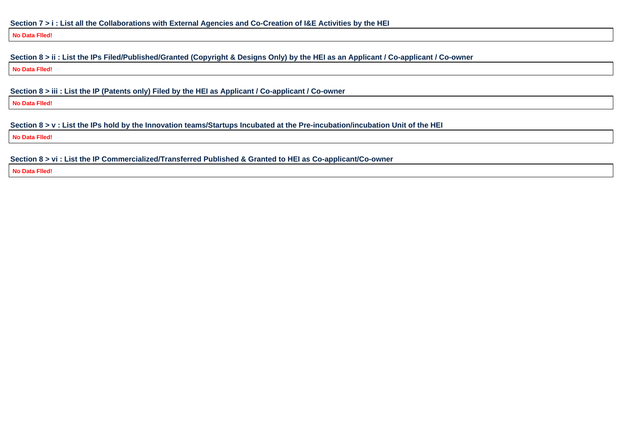**No Data Flled!**

## **Section 8 > ii : List the IPs Filed/Published/Granted (Copyright & Designs Only) by the HEI as an Applicant / Co-applicant / Co-owner**

**No Data Flled!**

**Section 8 > iii : List the IP (Patents only) Filed by the HEI as Applicant / Co-applicant / Co-owner**

**No Data Flled!**

**Section 8 > v : List the IPs hold by the Innovation teams/Startups Incubated at the Pre-incubation/incubation Unit of the HEI**

**No Data Flled!**

**Section 8 > vi : List the IP Commercialized/Transferred Published & Granted to HEI as Co-applicant/Co-owner**

**No Data Flled!**